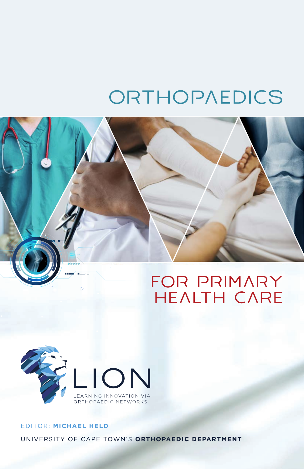# ORTHOPAEDICS





# EDITOR: MICHAEL HELD UNIVERSITY OF CAPE TOWN'S ORTHOPAEDIC DEPARTMENT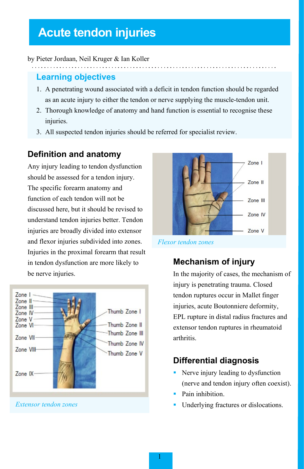# **Acute tendon injuries**

#### by Pieter Jordaan, Neil Kruger & Ian Koller

## **Learning objectives**

- 1. A penetrating wound associated with a deficit in tendon function should be regarded as an acute injury to either the tendon or nerve supplying the muscle-tendon unit.
- 2. Thorough knowledge of anatomy and hand function is essential to recognise these injuries.
- 3. All suspected tendon injuries should be referred for specialist review.

# **Definition and anatomy**

Any injury leading to tendon dysfunction should be assessed for a tendon injury. The specific forearm anatomy and function of each tendon will not be discussed here, but it should be revised to understand tendon injuries better. Tendon injuries are broadly divided into extensor and flexor injuries subdivided into zones. Injuries in the proximal forearm that result in tendon dysfunction are more likely to be nerve injuries.



*Extensor tendon zones*



*Flexor tendon zones*

# **Mechanism of injury**

In the majority of cases, the mechanism of injury is penetrating trauma. Closed tendon ruptures occur in Mallet finger injuries, acute Boutonniere deformity, EPL rupture in distal radius fractures and extensor tendon ruptures in rheumatoid arthritis.

# **Differential diagnosis**

- Nerve injury leading to dysfunction (nerve and tendon injury often coexist).
- Pain inhibition.
- Underlying fractures or dislocations.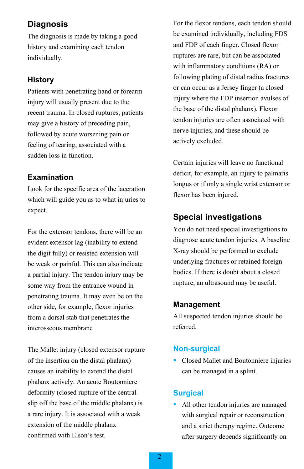### **Diagnosis**

The diagnosis is made by taking a good history and examining each tendon individually.

#### **History**

Patients with penetrating hand or forearm injury will usually present due to the recent trauma. In closed ruptures, patients may give a history of preceding pain, followed by acute worsening pain or feeling of tearing, associated with a sudden loss in function.

#### **Examination**

Look for the specific area of the laceration which will guide you as to what injuries to expect.

For the extensor tendons, there will be an evident extensor lag (inability to extend the digit fully) or resisted extension will be weak or painful. This can also indicate a partial injury. The tendon injury may be some way from the entrance wound in penetrating trauma. It may even be on the other side, for example, flexor injuries from a dorsal stab that penetrates the interosseous membrane

The Mallet injury (closed extensor rupture of the insertion on the distal phalanx) causes an inability to extend the distal phalanx actively. An acute Boutonniere deformity (closed rupture of the central slip off the base of the middle phalanx) is a rare injury. It is associated with a weak extension of the middle phalanx confirmed with Elson's test.

For the flexor tendons, each tendon should be examined individually, including FDS and FDP of each finger. Closed flexor ruptures are rare, but can be associated with inflammatory conditions (RA) or following plating of distal radius fractures or can occur as a Jersey finger (a closed injury where the FDP insertion avulses of the base of the distal phalanx). Flexor tendon injuries are often associated with nerve injuries, and these should be actively excluded.

Certain injuries will leave no functional deficit, for example, an injury to palmaris longus or if only a single wrist extensor or flexor has been injured.

# **Special investigations**

You do not need special investigations to diagnose acute tendon injuries. A baseline X-ray should be performed to exclude underlying fractures or retained foreign bodies. If there is doubt about a closed rupture, an ultrasound may be useful.

#### **Management**

All suspected tendon injuries should be referred.

#### **Non-surgical**

 Closed Mallet and Boutonniere injuries can be managed in a splint.

#### **Surgical**

• All other tendon injuries are managed with surgical repair or reconstruction and a strict therapy regime. Outcome after surgery depends significantly on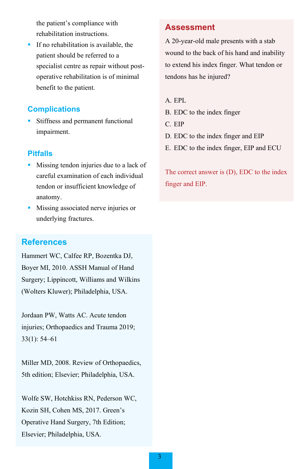the patient's compliance with rehabilitation instructions.

 If no rehabilitation is available, the patient should be referred to a specialist centre as repair without postoperative rehabilitation is of minimal benefit to the patient.

#### **Complications**

 Stiffness and permanent functional impairment.

#### **Pitfalls**

- Missing tendon injuries due to a lack of careful examination of each individual tendon or insufficient knowledge of anatomy.
- **Missing associated nerve injuries or** underlying fractures.

# **References**

Hammert WC, Calfee RP, Bozentka DJ, Boyer MI, 2010. ASSH Manual of Hand Surgery; Lippincott, Williams and Wilkins (Wolters Kluwer); Philadelphia, USA.

Jordaan PW, Watts AC. Acute tendon injuries; Orthopaedics and Trauma 2019; 33(1): 54–61

Miller MD, 2008. Review of Orthopaedics, 5th edition; Elsevier; Philadelphia, USA.

Wolfe SW, Hotchkiss RN, Pederson WC, Kozin SH, Cohen MS, 2017. Green's Operative Hand Surgery, 7th Edition; Elsevier; Philadelphia, USA.

#### **Assessment**

A 20-year-old male presents with a stab wound to the back of his hand and inability to extend his index finger. What tendon or tendons has he injured?

#### A. EPL

- B. EDC to the index finger
- C. EIP
- D. EDC to the index finger and EIP
- E. EDC to the index finger, EIP and ECU

The correct answer is (D), EDC to the index finger and EIP.